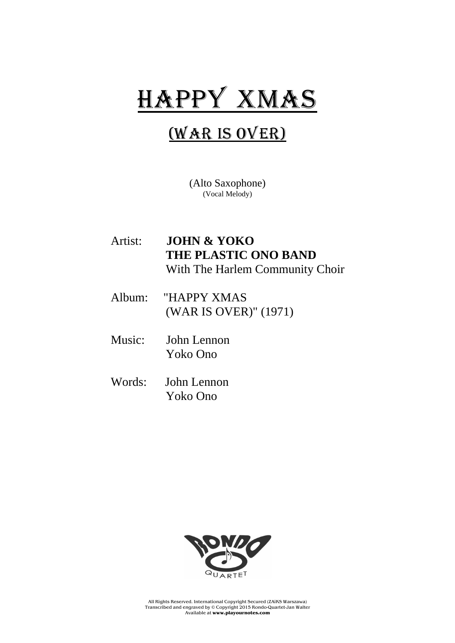## HAPPY XMAS

## (War is Over)

(Alto Saxophone) (Vocal Melody)

- Artist: **JOHN & YOKO THE PLASTIC ONO BAND** With The Harlem Community Choir
- Album: "HAPPY XMAS (WAR IS OVER)" (1971)
- Music: John Lennon Yoko Ono
- Words: John Lennon Yoko Ono



All Rights Reserved. International Copyright Secured (ZAiKS Warszawa) Transcribed and engraved by © Copyright 2015 Rondo-Quartet-Jan Walter Available at **www.playournotes.com**